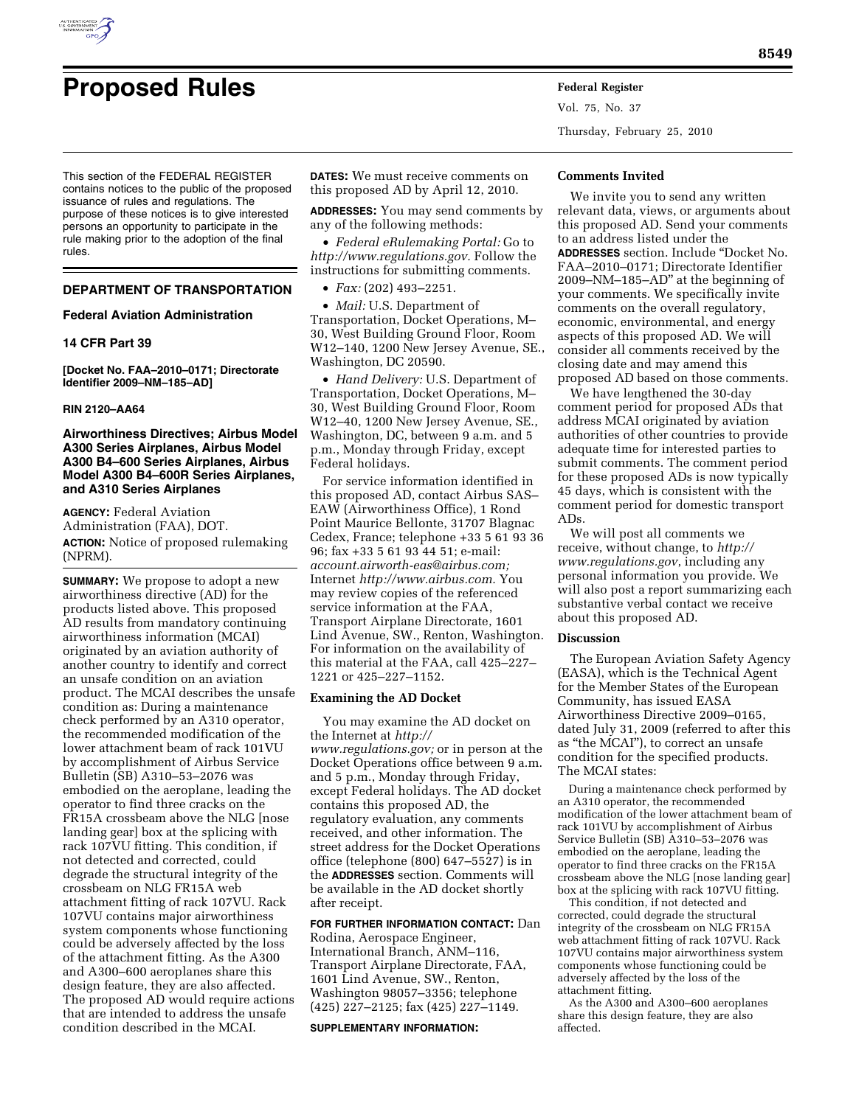

This section of the FEDERAL REGISTER contains notices to the public of the proposed issuance of rules and regulations. The purpose of these notices is to give interested persons an opportunity to participate in the rule making prior to the adoption of the final rules.

## **DEPARTMENT OF TRANSPORTATION**

### **Federal Aviation Administration**

# **14 CFR Part 39**

**[Docket No. FAA–2010–0171; Directorate Identifier 2009–NM–185–AD]** 

#### **RIN 2120–AA64**

# **Airworthiness Directives; Airbus Model A300 Series Airplanes, Airbus Model A300 B4–600 Series Airplanes, Airbus Model A300 B4–600R Series Airplanes, and A310 Series Airplanes**

**AGENCY:** Federal Aviation Administration (FAA), DOT. **ACTION:** Notice of proposed rulemaking (NPRM).

**SUMMARY:** We propose to adopt a new airworthiness directive (AD) for the products listed above. This proposed AD results from mandatory continuing airworthiness information (MCAI) originated by an aviation authority of another country to identify and correct an unsafe condition on an aviation product. The MCAI describes the unsafe condition as: During a maintenance check performed by an A310 operator, the recommended modification of the lower attachment beam of rack 101VU by accomplishment of Airbus Service Bulletin (SB) A310–53–2076 was embodied on the aeroplane, leading the operator to find three cracks on the FR15A crossbeam above the NLG [nose landing gear] box at the splicing with rack 107VU fitting. This condition, if not detected and corrected, could degrade the structural integrity of the crossbeam on NLG FR15A web attachment fitting of rack 107VU. Rack 107VU contains major airworthiness system components whose functioning could be adversely affected by the loss of the attachment fitting. As the A300 and A300–600 aeroplanes share this design feature, they are also affected. The proposed AD would require actions that are intended to address the unsafe condition described in the MCAI.

**DATES:** We must receive comments on this proposed AD by April 12, 2010.

**ADDRESSES:** You may send comments by any of the following methods:

• *Federal eRulemaking Portal:* Go to *http://www.regulations.gov.* Follow the instructions for submitting comments.

• *Fax:* (202) 493–2251.

• *Mail:* U.S. Department of Transportation, Docket Operations, M– 30, West Building Ground Floor, Room W12–140, 1200 New Jersey Avenue, SE., Washington, DC 20590.

• *Hand Delivery:* U.S. Department of Transportation, Docket Operations, M– 30, West Building Ground Floor, Room W12–40, 1200 New Jersey Avenue, SE., Washington, DC, between 9 a.m. and 5 p.m., Monday through Friday, except Federal holidays.

For service information identified in this proposed AD, contact Airbus SAS– EAW (Airworthiness Office), 1 Rond Point Maurice Bellonte, 31707 Blagnac Cedex, France; telephone +33 5 61 93 36 96; fax +33 5 61 93 44 51; e-mail: *account.airworth-eas@airbus.com;*  Internet *http://www.airbus.com.* You may review copies of the referenced service information at the FAA, Transport Airplane Directorate, 1601 Lind Avenue, SW., Renton, Washington. For information on the availability of this material at the FAA, call 425–227– 1221 or 425–227–1152.

### **Examining the AD Docket**

You may examine the AD docket on the Internet at *http:// www.regulations.gov;* or in person at the Docket Operations office between 9 a.m. and 5 p.m., Monday through Friday, except Federal holidays. The AD docket contains this proposed AD, the regulatory evaluation, any comments received, and other information. The street address for the Docket Operations office (telephone (800) 647–5527) is in the **ADDRESSES** section. Comments will be available in the AD docket shortly after receipt.

# **FOR FURTHER INFORMATION CONTACT:** Dan

Rodina, Aerospace Engineer, International Branch, ANM–116, Transport Airplane Directorate, FAA, 1601 Lind Avenue, SW., Renton, Washington 98057–3356; telephone (425) 227–2125; fax (425) 227–1149.

**SUPPLEMENTARY INFORMATION:** 

Vol. 75, No. 37

Thursday, February 25, 2010

### **Comments Invited**

We invite you to send any written relevant data, views, or arguments about this proposed AD. Send your comments to an address listed under the **ADDRESSES** section. Include ''Docket No. FAA–2010–0171; Directorate Identifier 2009–NM–185–AD'' at the beginning of your comments. We specifically invite comments on the overall regulatory, economic, environmental, and energy aspects of this proposed AD. We will consider all comments received by the closing date and may amend this proposed AD based on those comments.

We have lengthened the 30-day comment period for proposed ADs that address MCAI originated by aviation authorities of other countries to provide adequate time for interested parties to submit comments. The comment period for these proposed ADs is now typically 45 days, which is consistent with the comment period for domestic transport ADs.

We will post all comments we receive, without change, to *http:// www.regulations.gov*, including any personal information you provide. We will also post a report summarizing each substantive verbal contact we receive about this proposed AD.

### **Discussion**

The European Aviation Safety Agency (EASA), which is the Technical Agent for the Member States of the European Community, has issued EASA Airworthiness Directive 2009–0165, dated July 31, 2009 (referred to after this as ''the MCAI''), to correct an unsafe condition for the specified products. The MCAI states:

During a maintenance check performed by an A310 operator, the recommended modification of the lower attachment beam of rack 101VU by accomplishment of Airbus Service Bulletin (SB) A310–53–2076 was embodied on the aeroplane, leading the operator to find three cracks on the FR15A crossbeam above the NLG [nose landing gear] box at the splicing with rack 107VU fitting.

This condition, if not detected and corrected, could degrade the structural integrity of the crossbeam on NLG FR15A web attachment fitting of rack 107VU. Rack 107VU contains major airworthiness system components whose functioning could be adversely affected by the loss of the attachment fitting.

As the A300 and A300–600 aeroplanes share this design feature, they are also affected.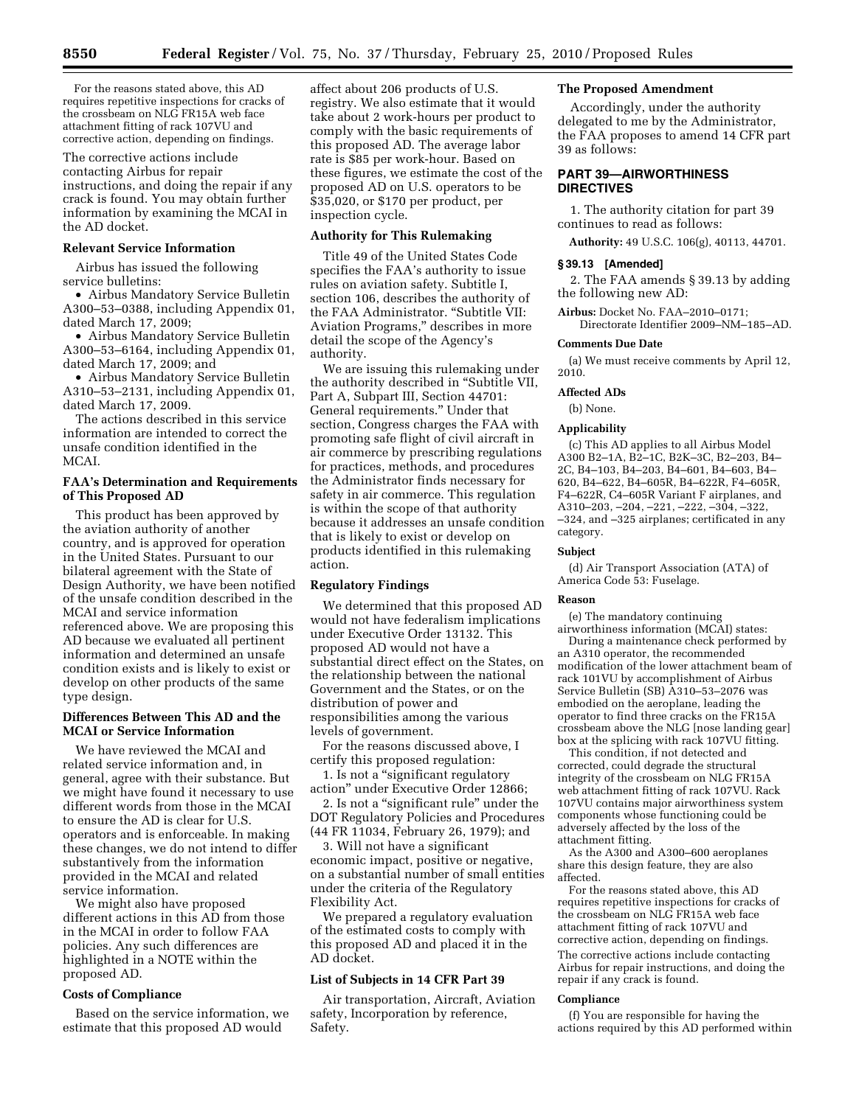For the reasons stated above, this AD requires repetitive inspections for cracks of the crossbeam on NLG FR15A web face attachment fitting of rack 107VU and corrective action, depending on findings.

The corrective actions include contacting Airbus for repair instructions, and doing the repair if any crack is found. You may obtain further information by examining the MCAI in the AD docket.

# **Relevant Service Information**

Airbus has issued the following service bulletins:

• Airbus Mandatory Service Bulletin A300–53–0388, including Appendix 01, dated March 17, 2009;

• Airbus Mandatory Service Bulletin A300–53–6164, including Appendix 01, dated March 17, 2009; and

• Airbus Mandatory Service Bulletin A310–53–2131, including Appendix 01, dated March 17, 2009.

The actions described in this service information are intended to correct the unsafe condition identified in the MC<sub>AI</sub>

# **FAA's Determination and Requirements of This Proposed AD**

This product has been approved by the aviation authority of another country, and is approved for operation in the United States. Pursuant to our bilateral agreement with the State of Design Authority, we have been notified of the unsafe condition described in the MCAI and service information referenced above. We are proposing this AD because we evaluated all pertinent information and determined an unsafe condition exists and is likely to exist or develop on other products of the same type design.

### **Differences Between This AD and the MCAI or Service Information**

We have reviewed the MCAI and related service information and, in general, agree with their substance. But we might have found it necessary to use different words from those in the MCAI to ensure the AD is clear for U.S. operators and is enforceable. In making these changes, we do not intend to differ substantively from the information provided in the MCAI and related service information.

We might also have proposed different actions in this AD from those in the MCAI in order to follow FAA policies. Any such differences are highlighted in a NOTE within the proposed AD.

### **Costs of Compliance**

Based on the service information, we estimate that this proposed AD would

affect about 206 products of U.S. registry. We also estimate that it would take about 2 work-hours per product to comply with the basic requirements of this proposed AD. The average labor rate is \$85 per work-hour. Based on these figures, we estimate the cost of the proposed AD on U.S. operators to be \$35,020, or \$170 per product, per inspection cycle.

# **Authority for This Rulemaking**

Title 49 of the United States Code specifies the FAA's authority to issue rules on aviation safety. Subtitle I, section 106, describes the authority of the FAA Administrator. ''Subtitle VII: Aviation Programs,'' describes in more detail the scope of the Agency's authority.

We are issuing this rulemaking under the authority described in ''Subtitle VII, Part A, Subpart III, Section 44701: General requirements.'' Under that section, Congress charges the FAA with promoting safe flight of civil aircraft in air commerce by prescribing regulations for practices, methods, and procedures the Administrator finds necessary for safety in air commerce. This regulation is within the scope of that authority because it addresses an unsafe condition that is likely to exist or develop on products identified in this rulemaking action.

## **Regulatory Findings**

We determined that this proposed AD would not have federalism implications under Executive Order 13132. This proposed AD would not have a substantial direct effect on the States, on the relationship between the national Government and the States, or on the distribution of power and responsibilities among the various levels of government.

For the reasons discussed above, I certify this proposed regulation:

1. Is not a ''significant regulatory action'' under Executive Order 12866;

2. Is not a "significant rule" under the DOT Regulatory Policies and Procedures (44 FR 11034, February 26, 1979); and

3. Will not have a significant economic impact, positive or negative, on a substantial number of small entities under the criteria of the Regulatory Flexibility Act.

We prepared a regulatory evaluation of the estimated costs to comply with this proposed AD and placed it in the AD docket.

### **List of Subjects in 14 CFR Part 39**

Air transportation, Aircraft, Aviation safety, Incorporation by reference, Safety.

# **The Proposed Amendment**

Accordingly, under the authority delegated to me by the Administrator, the FAA proposes to amend 14 CFR part 39 as follows:

# **PART 39—AIRWORTHINESS DIRECTIVES**

1. The authority citation for part 39 continues to read as follows:

**Authority:** 49 U.S.C. 106(g), 40113, 44701.

#### **§ 39.13 [Amended]**

2. The FAA amends § 39.13 by adding the following new AD:

**Airbus:** Docket No. FAA–2010–0171; Directorate Identifier 2009–NM–185–AD.

# **Comments Due Date**

(a) We must receive comments by April 12, 2010.

**Affected ADs** 

(b) None.

#### **Applicability**

(c) This AD applies to all Airbus Model A300 B2–1A, B2–1C, B2K–3C, B2–203, B4– 2C, B4–103, B4–203, B4–601, B4–603, B4– 620, B4–622, B4–605R, B4–622R, F4–605R, F4–622R, C4–605R Variant F airplanes, and A310–203, –204, –221, –222, –304, –322, –324, and –325 airplanes; certificated in any category.

#### **Subject**

(d) Air Transport Association (ATA) of America Code 53: Fuselage.

#### **Reason**

(e) The mandatory continuing airworthiness information (MCAI) states:

During a maintenance check performed by an A310 operator, the recommended modification of the lower attachment beam of rack 101VU by accomplishment of Airbus Service Bulletin (SB) A310–53–2076 was embodied on the aeroplane, leading the operator to find three cracks on the FR15A crossbeam above the NLG [nose landing gear] box at the splicing with rack 107VU fitting.

This condition, if not detected and corrected, could degrade the structural integrity of the crossbeam on NLG FR15A web attachment fitting of rack 107VU. Rack 107VU contains major airworthiness system components whose functioning could be adversely affected by the loss of the attachment fitting.

As the A300 and A300–600 aeroplanes share this design feature, they are also affected.

For the reasons stated above, this AD requires repetitive inspections for cracks of the crossbeam on NLG FR15A web face attachment fitting of rack 107VU and corrective action, depending on findings. The corrective actions include contacting Airbus for repair instructions, and doing the repair if any crack is found.

#### **Compliance**

(f) You are responsible for having the actions required by this AD performed within